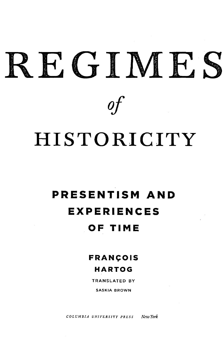# **REGIMES HISTORICITY** *of*

## PRESENTISM AND EXPERIENCES OF TIME

## FRANÇO IS HARTOG

TRANSLATED BY

SASKIA BROWN

*COLUMBIA UNIVERSITY PRESS New York*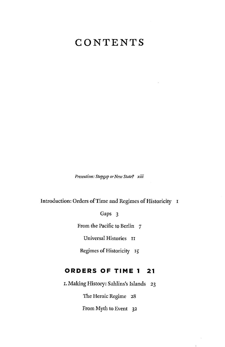### **CONTENTS**

*Presentism: Stopgap or New State? xiii*

Introduction: Orders of Time and Regimes of Historicity I

Gaps 3

From the Pacific to Berlin 7

Universal Histories 11

Regimes of Historicity 15

#### **ORDERS OF TIME 1 21**

I. Making History: Sahlins's Islands 23

The Heroic Regime 28

From Myth to Event 32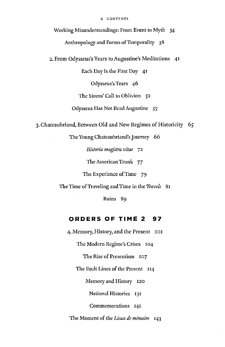#### X CONTENTS

Working Misunderstandings: From Event to Myth 34

Anthropology and Forms of Temporality 38

2. From Odysseus's Tears to Augustine's Meditations 41

Each Day Is the First Day 41

Odysseus's Tears 46

The Sirens' Call to Oblivion 52

Odysseus Has Not Read Augustine 55

3. Chateaubriand, Between Old and New Regimes of Historicity 65

The Young Chateaubriand's Journey 66

*Historia magistra vitae* 72

The American Trunk 77

The Experience of Time 79

The Time of Traveling and Time in the *Travels* 81

Ruins 89

#### **ORDERS OF TIME 2 97**

4. Memory, History, and the Present 101

The Modern Regime's Crises 104

The Rise of Presentism 107

The Fault Lines of the Present 114

Memory and History 120

National Histories 131

Commemorations 141

The Moment of the *Lieux de mémoire* 143